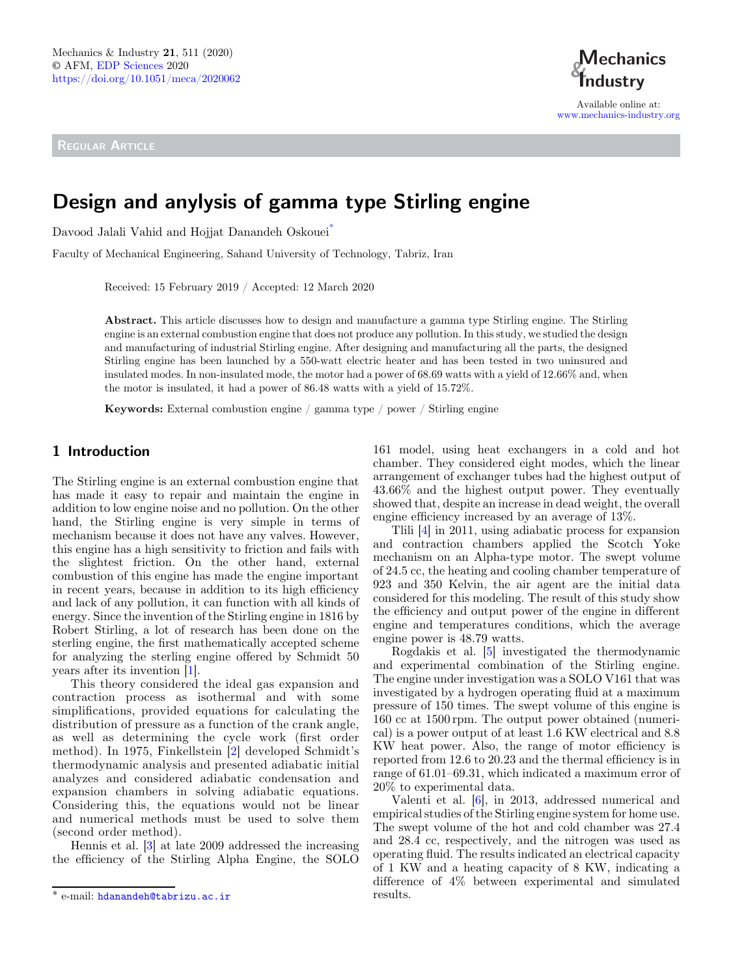REGULAR ARTICLE



Available online at: [www.mechanics-industry.org](https://www.mechanics-industry.org)

# Design and anylysis of gamma type Stirling engine

Davood Jalali Vahid and Hojjat Danandeh Oskouei<sup>\*</sup>

Faculty of Mechanical Engineering, Sahand University of Technology, Tabriz, Iran

Received: 15 February 2019 / Accepted: 12 March 2020

Abstract. This article discusses how to design and manufacture a gamma type Stirling engine. The Stirling engine is an external combustion engine that does not produce any pollution. In this study, we studied the design and manufacturing of industrial Stirling engine. After designing and manufacturing all the parts, the designed Stirling engine has been launched by a 550-watt electric heater and has been tested in two uninsured and insulated modes. In non-insulated mode, the motor had a power of 68.69 watts with a yield of 12.66% and, when the motor is insulated, it had a power of 86.48 watts with a yield of 15.72%.

Keywords: External combustion engine / gamma type / power / Stirling engine

# 1 Introduction

The Stirling engine is an external combustion engine that has made it easy to repair and maintain the engine in addition to low engine noise and no pollution. On the other hand, the Stirling engine is very simple in terms of mechanism because it does not have any valves. However, this engine has a high sensitivity to friction and fails with the slightest friction. On the other hand, external combustion of this engine has made the engine important in recent years, because in addition to its high efficiency and lack of any pollution, it can function with all kinds of energy. Since the invention of the Stirling engine in 1816 by Robert Stirling, a lot of research has been done on the sterling engine, the first mathematically accepted scheme for analyzing the sterling engine offered by Schmidt 50 years after its invention [\[1](#page-4-0)].

This theory considered the ideal gas expansion and contraction process as isothermal and with some simplifications, provided equations for calculating the distribution of pressure as a function of the crank angle, as well as determining the cycle work (first order method). In 1975, Finkellstein [\[2\]](#page-4-0) developed Schmidt's thermodynamic analysis and presented adiabatic initial analyzes and considered adiabatic condensation and expansion chambers in solving adiabatic equations. Considering this, the equations would not be linear and numerical methods must be used to solve them (second order method).

Hennis et al. [\[3](#page-4-0)] at late 2009 addressed the increasing the efficiency of the Stirling Alpha Engine, the SOLO

161 model, using heat exchangers in a cold and hot chamber. They considered eight modes, which the linear arrangement of exchanger tubes had the highest output of 43.66% and the highest output power. They eventually showed that, despite an increase in dead weight, the overall engine efficiency increased by an average of 13%.

Tlili [[4\]](#page-4-0) in 2011, using adiabatic process for expansion and contraction chambers applied the Scotch Yoke mechanism on an Alpha-type motor. The swept volume of 24.5 cc, the heating and cooling chamber temperature of 923 and 350 Kelvin, the air agent are the initial data considered for this modeling. The result of this study show the efficiency and output power of the engine in different engine and temperatures conditions, which the average engine power is 48.79 watts.

Rogdakis et al. [\[5](#page-4-0)] investigated the thermodynamic and experimental combination of the Stirling engine. The engine under investigation was a SOLO V161 that was investigated by a hydrogen operating fluid at a maximum pressure of 150 times. The swept volume of this engine is 160 cc at 1500 rpm. The output power obtained (numerical) is a power output of at least 1.6 KW electrical and 8.8 KW heat power. Also, the range of motor efficiency is reported from 12.6 to 20.23 and the thermal efficiency is in range of 61.01–69.31, which indicated a maximum error of 20% to experimental data.

Valenti et al. [\[6](#page-4-0)], in 2013, addressed numerical and empirical studies of the Stirling engine system for home use. The swept volume of the hot and cold chamber was 27.4 and 28.4 cc, respectively, and the nitrogen was used as operating fluid. The results indicated an electrical capacity of 1 KW and a heating capacity of 8 KW, indicating a difference of 4% between experimental and simulated

<sup>\*</sup> e-mail: [hdanandeh@tabrizu.ac.ir](mailto:hdanandeh@tabrizu.ac.ir) results.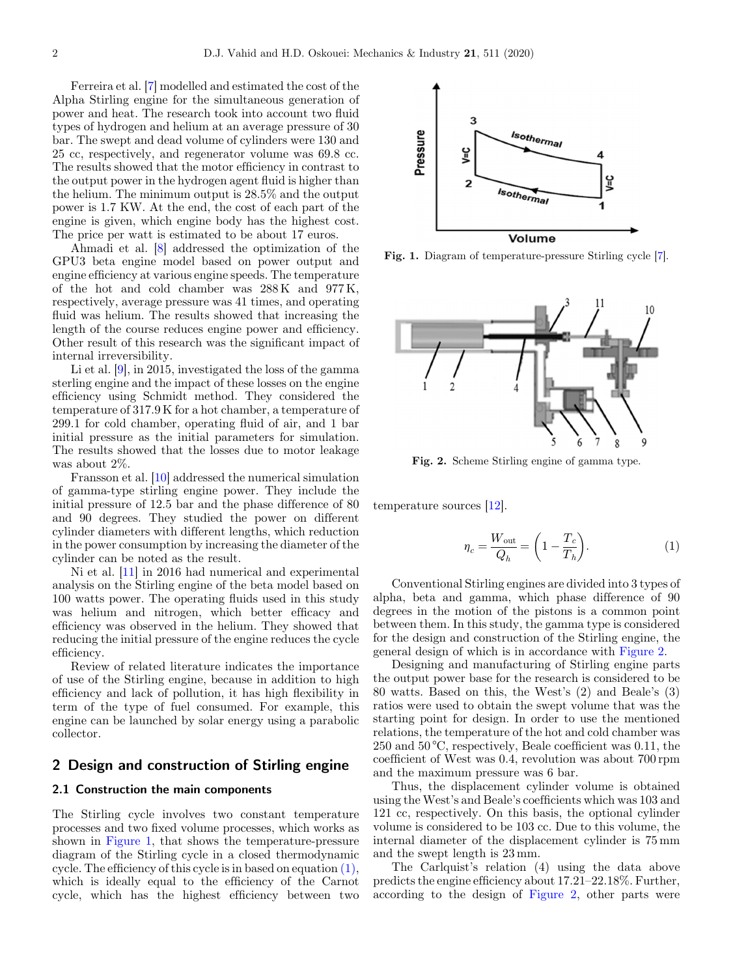Ferreira et al. [\[7](#page-4-0)] modelled and estimated the cost of the Alpha Stirling engine for the simultaneous generation of power and heat. The research took into account two fluid types of hydrogen and helium at an average pressure of 30 bar. The swept and dead volume of cylinders were 130 and 25 cc, respectively, and regenerator volume was 69.8 cc. The results showed that the motor efficiency in contrast to the output power in the hydrogen agent fluid is higher than the helium. The minimum output is 28.5% and the output power is 1.7 KW. At the end, the cost of each part of the engine is given, which engine body has the highest cost. The price per watt is estimated to be about 17 euros.

Ahmadi et al. [[8\]](#page-4-0) addressed the optimization of the GPU3 beta engine model based on power output and engine efficiency at various engine speeds. The temperature of the hot and cold chamber was  $288 \text{ K}$  and  $977 \text{ K}$ , respectively, average pressure was 41 times, and operating fluid was helium. The results showed that increasing the length of the course reduces engine power and efficiency. Other result of this research was the significant impact of internal irreversibility.

Li et al. [\[9](#page-4-0)], in 2015, investigated the loss of the gamma sterling engine and the impact of these losses on the engine efficiency using Schmidt method. They considered the temperature of 317.9 K for a hot chamber, a temperature of 299.1 for cold chamber, operating fluid of air, and 1 bar initial pressure as the initial parameters for simulation. The results showed that the losses due to motor leakage was about 2%.

Fransson et al. [[10\]](#page-5-0) addressed the numerical simulation of gamma-type stirling engine power. They include the initial pressure of 12.5 bar and the phase difference of 80 and 90 degrees. They studied the power on different cylinder diameters with different lengths, which reduction in the power consumption by increasing the diameter of the cylinder can be noted as the result.

Ni et al. [[11\]](#page-5-0) in 2016 had numerical and experimental analysis on the Stirling engine of the beta model based on 100 watts power. The operating fluids used in this study was helium and nitrogen, which better efficacy and efficiency was observed in the helium. They showed that reducing the initial pressure of the engine reduces the cycle efficiency.

Review of related literature indicates the importance of use of the Stirling engine, because in addition to high efficiency and lack of pollution, it has high flexibility in term of the type of fuel consumed. For example, this engine can be launched by solar energy using a parabolic collector.

# 2 Design and construction of Stirling engine

#### 2.1 Construction the main components

The Stirling cycle involves two constant temperature processes and two fixed volume processes, which works as shown in Figure 1, that shows the temperature-pressure diagram of the Stirling cycle in a closed thermodynamic cycle. The efficiency of this cycle is in based on equation (1), which is ideally equal to the efficiency of the Carnot cycle, which has the highest efficiency between two



Fig. 1. Diagram of temperature-pressure Stirling cycle [\[7\]](#page-4-0).



Fig. 2. Scheme Stirling engine of gamma type.

temperature sources [[12\]](#page-5-0).

$$
\eta_c = \frac{W_{\text{out}}}{Q_h} = \left(1 - \frac{T_c}{T_h}\right). \tag{1}
$$

Conventional Stirling engines are divided into 3 types of alpha, beta and gamma, which phase difference of 90 degrees in the motion of the pistons is a common point between them. In this study, the gamma type is considered for the design and construction of the Stirling engine, the general design of which is in accordance with Figure 2.

Designing and manufacturing of Stirling engine parts the output power base for the research is considered to be 80 watts. Based on this, the West's (2) and Beale's (3) ratios were used to obtain the swept volume that was the starting point for design. In order to use the mentioned relations, the temperature of the hot and cold chamber was 250 and 50 °C, respectively, Beale coefficient was 0.11, the coefficient of West was 0.4, revolution was about 700 rpm and the maximum pressure was 6 bar.

Thus, the displacement cylinder volume is obtained using the West's and Beale's coefficients which was 103 and 121 cc, respectively. On this basis, the optional cylinder volume is considered to be 103 cc. Due to this volume, the internal diameter of the displacement cylinder is 75 mm and the swept length is 23 mm.

The Carlquist's relation (4) using the data above predicts the engine efficiency about 17.21–22.18%. Further, according to the design of Figure 2, other parts were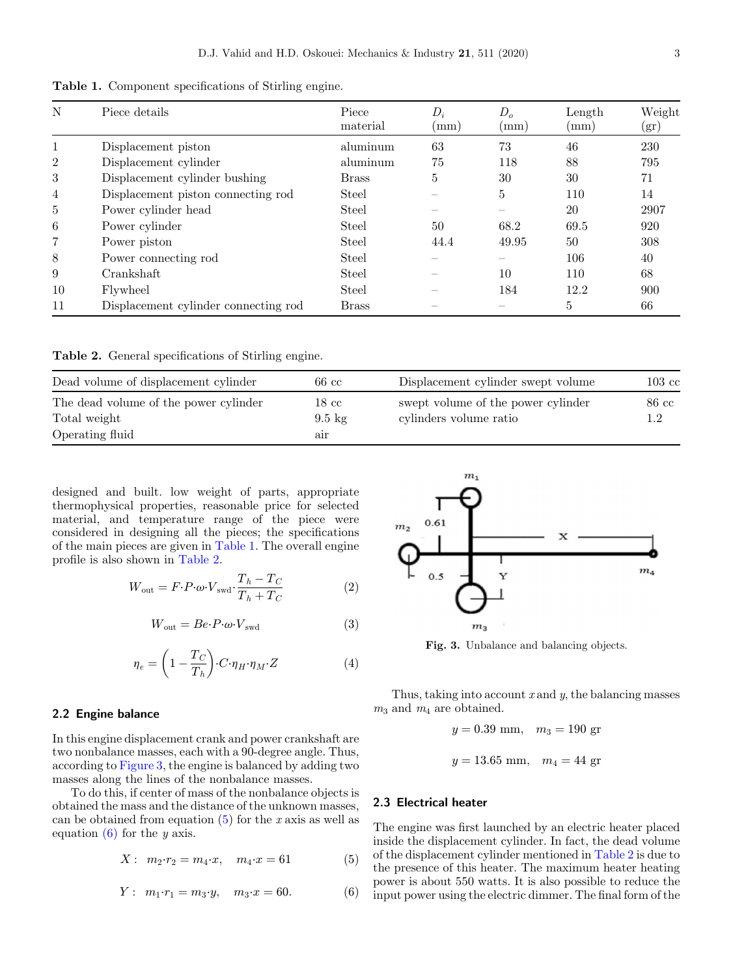Table 1. Component specifications of Stirling engine.

| N  | Piece details                        | Piece<br>material | $D_i$<br>$\rm (mm)$ | D <sub>o</sub><br>$\rm (mm)$ | Length<br>$\rm (mm)$ | Weight<br>$(\mathrm{gr})$ |
|----|--------------------------------------|-------------------|---------------------|------------------------------|----------------------|---------------------------|
| 1  | Displacement piston                  | aluminum          | 63                  | 73                           | 46                   | 230                       |
| 2  | Displacement cylinder                | aluminum          | 75                  | 118                          | 88                   | 795                       |
| 3  | Displacement cylinder bushing        | <b>Brass</b>      | 5                   | 30                           | 30                   | 71                        |
| 4  | Displacement piston connecting rod   | Steel             |                     | 5                            | 110                  | 14                        |
| 5  | Power cylinder head                  | Steel             |                     |                              | 20                   | 2907                      |
| 6  | Power cylinder                       | Steel             | 50                  | 68.2                         | 69.5                 | 920                       |
| 7  | Power piston                         | Steel             | 44.4                | 49.95                        | 50                   | 308                       |
| 8  | Power connecting rod                 | Steel             |                     |                              | 106                  | 40                        |
| 9  | Crankshaft                           | Steel             |                     | 10                           | 110                  | 68                        |
| 10 | Flywheel                             | Steel             |                     | 184                          | 12.2                 | 900                       |
| 11 | Displacement cylinder connecting rod | <b>Brass</b>      |                     |                              | 5                    | 66                        |

Table 2. General specifications of Stirling engine.

| Dead volume of displacement cylinder  | 66 cc            | Displacement cylinder swept volume | $103\;\mathrm{cc}$ |
|---------------------------------------|------------------|------------------------------------|--------------------|
| The dead volume of the power cylinder | $18\ {\rm cc}$   | swept volume of the power cylinder | 86 cc              |
| Total weight                          | $9.5 \text{ kg}$ | cylinders volume ratio             | 1.2                |
| Operating fluid                       | air              |                                    |                    |

designed and built. low weight of parts, appropriate thermophysical properties, reasonable price for selected material, and temperature range of the piece were considered in designing all the pieces; the specifications of the main pieces are given in Table 1. The overall engine profile is also shown in Table 2.

$$
W_{\text{out}} = F \cdot P \cdot \omega \cdot V_{\text{swd}} \cdot \frac{T_h - T_C}{T_h + T_C} \tag{2}
$$

$$
W_{\text{out}} = Be \cdot P \cdot \omega \cdot V_{\text{swd}} \tag{3}
$$

$$
\eta_e = \left(1 - \frac{T_C}{T_h}\right) \cdot C \cdot \eta_H \cdot \eta_M \cdot Z \tag{4}
$$

#### 2.2 Engine balance

In this engine displacement crank and power crankshaft are two nonbalance masses, each with a 90-degree angle. Thus, according to Figure 3, the engine is balanced by adding two masses along the lines of the nonbalance masses.

To do this, if center of mass of the nonbalance objects is obtained the mass and the distance of the unknown masses, can be obtained from equation  $(5)$  for the x axis as well as equation  $(6)$  for the y axis.

$$
X: m_2 \cdot r_2 = m_4 \cdot x, \quad m_4 \cdot x = 61 \tag{5}
$$

$$
Y: m_1 \cdot r_1 = m_3 \cdot y, m_3 \cdot x = 60. \tag{6}
$$



Fig. 3. Unbalance and balancing objects.

Thus, taking into account  $x$  and  $y$ , the balancing masses  $m_3$  and  $m_4$  are obtained.

$$
y = 0.39
$$
 mm,  $m_3 = 190$  gr  
 $y = 13.65$  mm,  $m_4 = 44$  gr

#### 2.3 Electrical heater

The engine was first launched by an electric heater placed inside the displacement cylinder. In fact, the dead volume of the displacement cylinder mentioned in Table 2 is due to the presence of this heater. The maximum heater heating power is about 550 watts. It is also possible to reduce the input power using the electric dimmer. The final form of the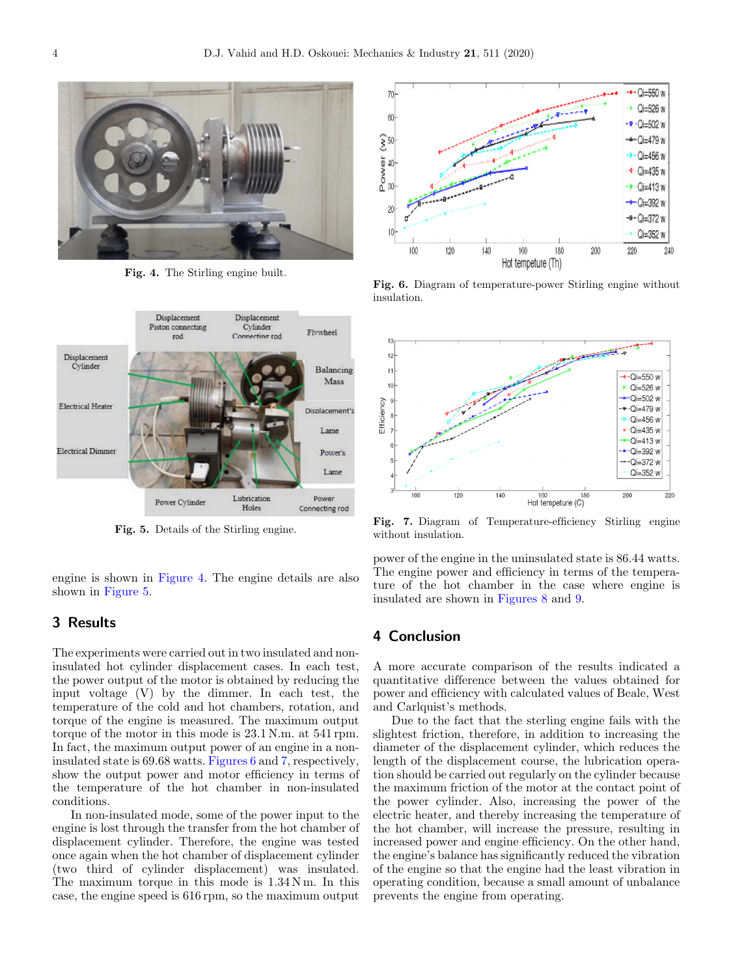

Fig. 4. The Stirling engine built.



engine is shown in Figure 4. The engine details are also shown in Figure 5.

# 3 Results

The experiments were carried out in two insulated and noninsulated hot cylinder displacement cases. In each test, the power output of the motor is obtained by reducing the input voltage (V) by the dimmer. In each test, the temperature of the cold and hot chambers, rotation, and torque of the engine is measured. The maximum output torque of the motor in this mode is 23.1 N.m. at 541 rpm. In fact, the maximum output power of an engine in a noninsulated state is 69.68 watts. Figures 6 and 7, respectively, show the output power and motor efficiency in terms of the temperature of the hot chamber in non-insulated conditions.

In non-insulated mode, some of the power input to the engine is lost through the transfer from the hot chamber of displacement cylinder. Therefore, the engine was tested once again when the hot chamber of displacement cylinder (two third of cylinder displacement) was insulated. The maximum torque in this mode is  $1.34$  N m. In this case, the engine speed is 616 rpm, so the maximum output



Fig. 6. Diagram of temperature-power Stirling engine without insulation.



Fig. 5. Details of the Stirling engine.<br>Fig. 7. Diagram of Temperature-efficiency Stirling engine without insulation.

power of the engine in the uninsulated state is 86.44 watts. The engine power and efficiency in terms of the temperature of the hot chamber in the case where engine is insulated are shown in [Figures 8](#page-4-0) and [9.](#page-4-0)

# 4 Conclusion

A more accurate comparison of the results indicated a quantitative difference between the values obtained for power and efficiency with calculated values of Beale, West and Carlquist's methods.

Due to the fact that the sterling engine fails with the slightest friction, therefore, in addition to increasing the diameter of the displacement cylinder, which reduces the length of the displacement course, the lubrication operation should be carried out regularly on the cylinder because the maximum friction of the motor at the contact point of the power cylinder. Also, increasing the power of the electric heater, and thereby increasing the temperature of the hot chamber, will increase the pressure, resulting in increased power and engine efficiency. On the other hand, the engine's balance has significantly reduced the vibration of the engine so that the engine had the least vibration in operating condition, because a small amount of unbalance prevents the engine from operating.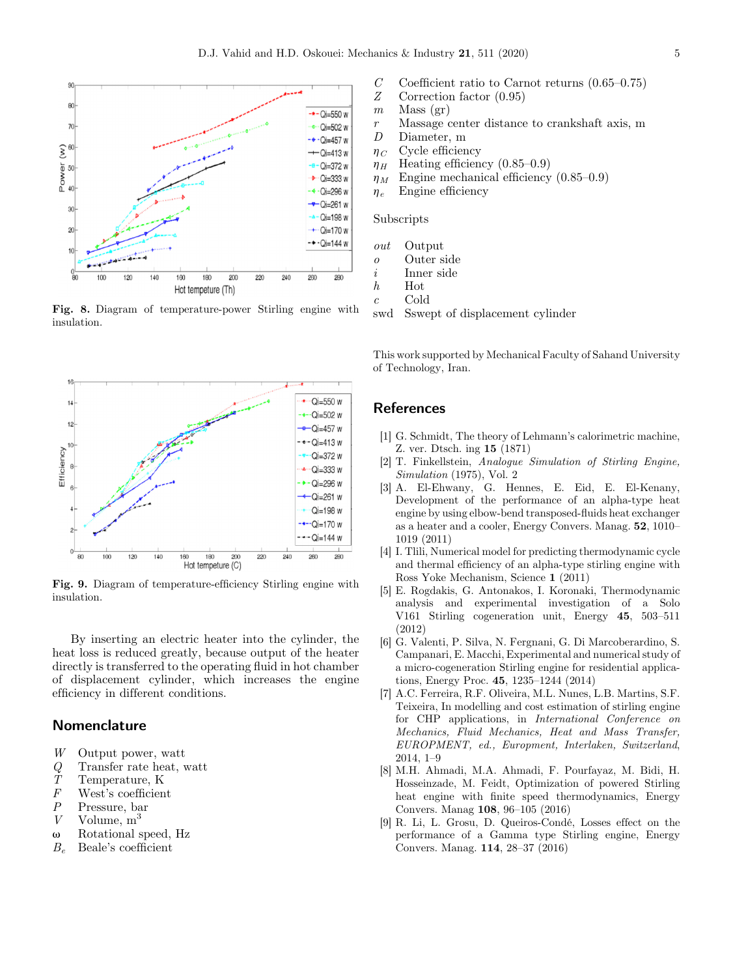<span id="page-4-0"></span>

Fig. 8. Diagram of temperature-power Stirling engine with insulation.



Fig. 9. Diagram of temperature-efficiency Stirling engine with insulation.

By inserting an electric heater into the cylinder, the heat loss is reduced greatly, because output of the heater directly is transferred to the operating fluid in hot chamber of displacement cylinder, which increases the engine efficiency in different conditions.

#### Nomenclature

- W Output power, watt
- $Q$  Transfer rate heat, watt<br>  $T$  Temperature, K
- $T$  Temperature, K<br> $F$  West's coefficien
- $F$  West's coefficient<br> $P$  Pressure, bar
- Pressure, bar
- V Volume,  $m<sup>3</sup>$
- $\omega$  Rotational speed, Hz
- $B_e$  Beale's coefficient
- $C$  Coefficient ratio to Carnot returns (0.65–0.75)<br>  $Z$  Correction factor (0.95)
	- Correction factor  $(0.95)$
- $m$  Mass (gr)
- r Massage center distance to crankshaft axis, m
- D Diameter, m
- $\eta_C$  Cycle efficiency
- $\eta_H$  Heating efficiency (0.85–0.9)
- $\eta_M$  Engine mechanical efficiency (0.85–0.9)
- $\eta_e$  Engine efficiency

#### Subscripts

- out Output
- o Outer side
- i Inner side
- h Hot
- c Cold

swd Sswept of displacement cylinder

This work supported by Mechanical Faculty of Sahand University of Technology, Iran.

### **References**

- [1] G. Schmidt, The theory of Lehmann's calorimetric machine, Z. ver. Dtsch. ing 15 (1871)
- [2] T. Finkellstein, Analogue Simulation of Stirling Engine, Simulation (1975), Vol. 2
- [3] A. El-Ehwany, G. Hennes, E. Eid, E. El-Kenany, Development of the performance of an alpha-type heat engine by using elbow-bend transposed-fluids heat exchanger as a heater and a cooler, Energy Convers. Manag. 52, 1010– 1019 (2011)
- [4] I. Tlili, Numerical model for predicting thermodynamic cycle and thermal efficiency of an alpha-type stirling engine with Ross Yoke Mechanism, Science 1 (2011)
- [5] E. Rogdakis, G. Antonakos, I. Koronaki, Thermodynamic analysis and experimental investigation of a Solo V161 Stirling cogeneration unit, Energy 45, 503–511 (2012)
- [6] G. Valenti, P. Silva, N. Fergnani, G. Di Marcoberardino, S. Campanari, E. Macchi, Experimental and numerical study of a micro-cogeneration Stirling engine for residential applications, Energy Proc. 45, 1235–1244 (2014)
- [7] A.C. Ferreira, R.F. Oliveira, M.L. Nunes, L.B. Martins, S.F. Teixeira, In modelling and cost estimation of stirling engine for CHP applications, in International Conference on Mechanics, Fluid Mechanics, Heat and Mass Transfer, EUROPMENT, ed., Europment, Interlaken, Switzerland, 2014, 1–9
- [8] M.H. Ahmadi, M.A. Ahmadi, F. Pourfayaz, M. Bidi, H. Hosseinzade, M. Feidt, Optimization of powered Stirling heat engine with finite speed thermodynamics, Energy Convers. Manag 108, 96–105 (2016)
- [9] R. Li, L. Grosu, D. Queiros-Condé, Losses effect on the performance of a Gamma type Stirling engine, Energy Convers. Manag. 114, 28–37 (2016)